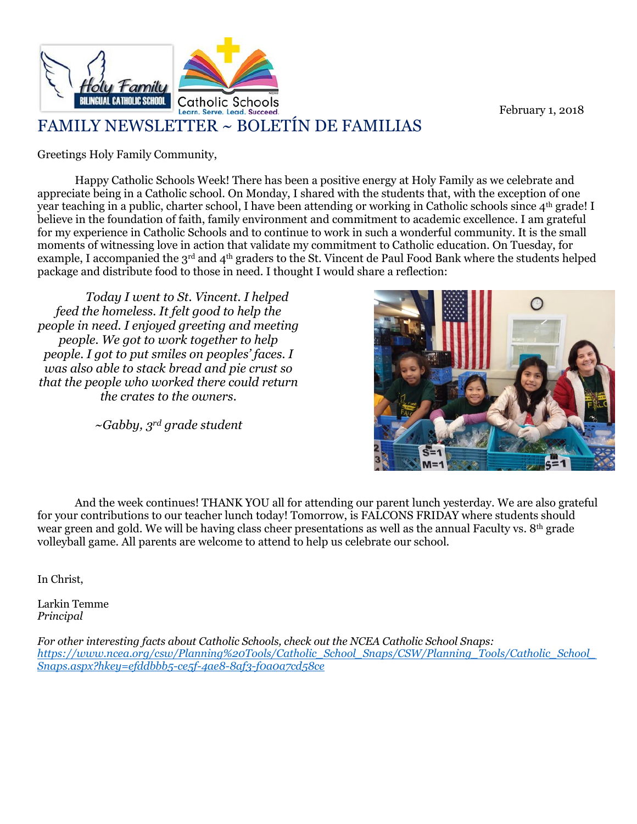

February 1, 2018

## FAMILY NEWSLETTER ~ BOLETÍN DE FAMILIAS

Greetings Holy Family Community,

Happy Catholic Schools Week! There has been a positive energy at Holy Family as we celebrate and appreciate being in a Catholic school. On Monday, I shared with the students that, with the exception of one year teaching in a public, charter school, I have been attending or working in Catholic schools since 4<sup>th</sup> grade! I believe in the foundation of faith, family environment and commitment to academic excellence. I am grateful for my experience in Catholic Schools and to continue to work in such a wonderful community. It is the small moments of witnessing love in action that validate my commitment to Catholic education. On Tuesday, for example, I accompanied the 3<sup>rd</sup> and 4<sup>th</sup> graders to the St. Vincent de Paul Food Bank where the students helped package and distribute food to those in need. I thought I would share a reflection:

*Today I went to St. Vincent. I helped feed the homeless. It felt good to help the people in need. I enjoyed greeting and meeting people. We got to work together to help people. I got to put smiles on peoples' faces. I was also able to stack bread and pie crust so that the people who worked there could return the crates to the owners.*

*~Gabby, 3rd grade student*



And the week continues! THANK YOU all for attending our parent lunch yesterday. We are also grateful for your contributions to our teacher lunch today! Tomorrow, is FALCONS FRIDAY where students should wear green and gold. We will be having class cheer presentations as well as the annual Faculty vs. 8th grade volleyball game. All parents are welcome to attend to help us celebrate our school.

In Christ,

Larkin Temme *Principal*

*For other interesting facts about Catholic Schools, check out the NCEA Catholic School Snaps: [https://www.ncea.org/csw/Planning%20Tools/Catholic\\_School\\_Snaps/CSW/Planning\\_Tools/Catholic\\_School\\_](https://www.ncea.org/csw/Planning%20Tools/Catholic_School_Snaps/CSW/Planning_Tools/Catholic_School_Snaps.aspx?hkey=efddbbb5-ce5f-4ae8-8af3-f0a0a7cd58ce) [Snaps.aspx?hkey=efddbbb5-ce5f-4ae8-8af3-f0a0a7cd58ce](https://www.ncea.org/csw/Planning%20Tools/Catholic_School_Snaps/CSW/Planning_Tools/Catholic_School_Snaps.aspx?hkey=efddbbb5-ce5f-4ae8-8af3-f0a0a7cd58ce)*